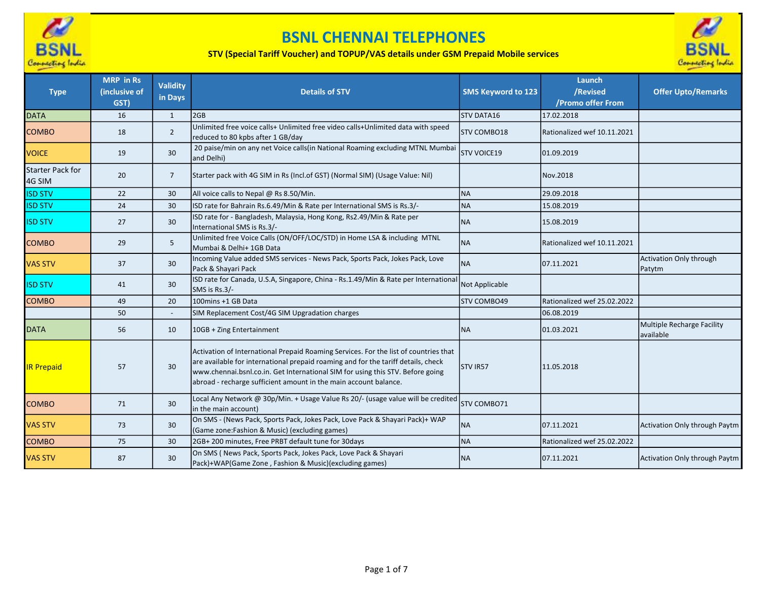

## BSNL CHENNAI TELEPHONES

## STV (Special Tariff Voucher) and TOPUP/VAS details under GSM Prepaid Mobile services



| <b>Type</b>                       | <b>MRP</b> in Rs<br>(inclusive of<br>GST) | <b>Validity</b><br>in Days | <b>Details of STV</b>                                                                                                                                                                                                                                                                                                           | <b>SMS Keyword to 123</b> | Launch<br>/Revised<br>/Promo offer From | <b>Offer Upto/Remarks</b>               |
|-----------------------------------|-------------------------------------------|----------------------------|---------------------------------------------------------------------------------------------------------------------------------------------------------------------------------------------------------------------------------------------------------------------------------------------------------------------------------|---------------------------|-----------------------------------------|-----------------------------------------|
| <b>DATA</b>                       | 16                                        | $\mathbf{1}$               | 2GB                                                                                                                                                                                                                                                                                                                             | <b>STV DATA16</b>         | 17.02.2018                              |                                         |
| <b>COMBO</b>                      | 18                                        | $\overline{2}$             | Unlimited free voice calls+ Unlimited free video calls+Unlimited data with speed<br>reduced to 80 kpbs after 1 GB/day                                                                                                                                                                                                           | <b>STV COMBO18</b>        | Rationalized wef 10.11.2021             |                                         |
| <b>VOICE</b>                      | 19                                        | 30                         | 20 paise/min on any net Voice calls(in National Roaming excluding MTNL Mumbai<br>and Delhi)                                                                                                                                                                                                                                     | <b>STV VOICE19</b>        | 01.09.2019                              |                                         |
| <b>Starter Pack for</b><br>4G SIM | 20                                        | $\overline{7}$             | Starter pack with 4G SIM in Rs (Incl.of GST) (Normal SIM) (Usage Value: Nil)                                                                                                                                                                                                                                                    |                           | Nov.2018                                |                                         |
| <b>ISD STV</b>                    | 22                                        | 30                         | All voice calls to Nepal @ Rs 8.50/Min.                                                                                                                                                                                                                                                                                         | <b>NA</b>                 | 29.09.2018                              |                                         |
| <b>ISD STV</b>                    | 24                                        | 30                         | ISD rate for Bahrain Rs.6.49/Min & Rate per International SMS is Rs.3/-                                                                                                                                                                                                                                                         | <b>NA</b>                 | 15.08.2019                              |                                         |
| <b>ISD STV</b>                    | 27                                        | 30                         | ISD rate for - Bangladesh, Malaysia, Hong Kong, Rs2.49/Min & Rate per<br>International SMS is Rs.3/-                                                                                                                                                                                                                            | <b>NA</b>                 | 15.08.2019                              |                                         |
| <b>COMBO</b>                      | 29                                        | 5                          | Unlimited free Voice Calls (ON/OFF/LOC/STD) in Home LSA & including MTNL<br>Mumbai & Delhi+ 1GB Data                                                                                                                                                                                                                            | <b>NA</b>                 | Rationalized wef 10.11.2021             |                                         |
| <b>VAS STV</b>                    | 37                                        | 30                         | Incoming Value added SMS services - News Pack, Sports Pack, Jokes Pack, Love<br>Pack & Shayari Pack                                                                                                                                                                                                                             | <b>NA</b>                 | 107.11.2021                             | Activation Only through<br>Patytm       |
| <b>ISD STV</b>                    | 41                                        | 30                         | ISD rate for Canada, U.S.A, Singapore, China - Rs.1.49/Min & Rate per International<br>SMS is Rs.3/-                                                                                                                                                                                                                            | Not Applicable            |                                         |                                         |
| <b>COMBO</b>                      | 49                                        | 20                         | 100mins +1 GB Data                                                                                                                                                                                                                                                                                                              | <b>STV COMBO49</b>        | Rationalized wef 25.02.2022             |                                         |
|                                   | 50                                        |                            | SIM Replacement Cost/4G SIM Upgradation charges                                                                                                                                                                                                                                                                                 |                           | 06.08.2019                              |                                         |
| <b>DATA</b>                       | 56                                        | 10                         | 10GB + Zing Entertainment                                                                                                                                                                                                                                                                                                       | <b>NA</b>                 | 01.03.2021                              | Multiple Recharge Facility<br>available |
| <b>IR Prepaid</b>                 | 57                                        | 30                         | Activation of International Prepaid Roaming Services. For the list of countries that<br>are available for international prepaid roaming and for the tariff details, check<br>www.chennai.bsnl.co.in. Get International SIM for using this STV. Before going<br>abroad - recharge sufficient amount in the main account balance. | STV IR57                  | 11.05.2018                              |                                         |
| <b>COMBO</b>                      | 71                                        | 30                         | Local Any Network @ 30p/Min. + Usage Value Rs 20/- (usage value will be credited<br>in the main account)                                                                                                                                                                                                                        | STV COMBO71               |                                         |                                         |
| <b>VAS STV</b>                    | 73                                        | 30                         | On SMS - (News Pack, Sports Pack, Jokes Pack, Love Pack & Shayari Pack)+ WAP<br>(Game zone: Fashion & Music) (excluding games)                                                                                                                                                                                                  | <b>NA</b>                 | 07.11.2021                              | Activation Only through Paytm           |
| <b>COMBO</b>                      | 75                                        | 30                         | 2GB+200 minutes, Free PRBT default tune for 30days                                                                                                                                                                                                                                                                              | <b>NA</b>                 | Rationalized wef 25.02.2022             |                                         |
| <b>VAS STV</b>                    | 87                                        | 30                         | On SMS (News Pack, Sports Pack, Jokes Pack, Love Pack & Shayari<br>Pack)+WAP(Game Zone, Fashion & Music)(excluding games)                                                                                                                                                                                                       | <b>NA</b>                 | 07.11.2021                              | Activation Only through Paytm           |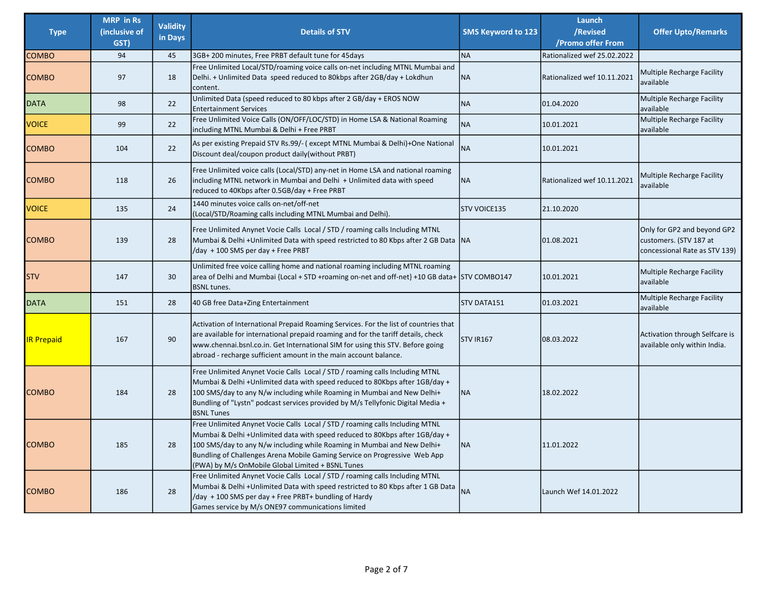| <b>Type</b>       | <b>MRP</b> in Rs<br>(inclusive of<br>GST) | <b>Validity</b><br>in Days | <b>Details of STV</b>                                                                                                                                                                                                                                                                                                                                                    | <b>SMS Keyword to 123</b> | Launch<br>/Revised<br>/Promo offer From | <b>Offer Upto/Remarks</b>                                                              |
|-------------------|-------------------------------------------|----------------------------|--------------------------------------------------------------------------------------------------------------------------------------------------------------------------------------------------------------------------------------------------------------------------------------------------------------------------------------------------------------------------|---------------------------|-----------------------------------------|----------------------------------------------------------------------------------------|
| <b>COMBO</b>      | 94                                        | 45                         | 3GB+ 200 minutes, Free PRBT default tune for 45days                                                                                                                                                                                                                                                                                                                      | <b>NA</b>                 | Rationalized wef 25.02.2022             |                                                                                        |
| <b>COMBO</b>      | 97                                        | 18                         | Free Unlimited Local/STD/roaming voice calls on-net including MTNL Mumbai and<br>Delhi. + Unlimited Data speed reduced to 80kbps after 2GB/day + Lokdhun<br>content.                                                                                                                                                                                                     | <b>NA</b>                 | Rationalized wef 10.11.2021             | <b>Multiple Recharge Facility</b><br>available                                         |
| <b>DATA</b>       | 98                                        | 22                         | Unlimited Data (speed reduced to 80 kbps after 2 GB/day + EROS NOW<br><b>Entertainment Services</b>                                                                                                                                                                                                                                                                      | <b>NA</b>                 | 01.04.2020                              | Multiple Recharge Facility<br>available                                                |
| <b>VOICE</b>      | 99                                        | 22                         | Free Unlimited Voice Calls (ON/OFF/LOC/STD) in Home LSA & National Roaming<br>including MTNL Mumbai & Delhi + Free PRBT                                                                                                                                                                                                                                                  | <b>NA</b>                 | 10.01.2021                              | Multiple Recharge Facility<br>available                                                |
| <b>COMBO</b>      | 104                                       | 22                         | As per existing Prepaid STV Rs.99/- (except MTNL Mumbai & Delhi)+One National<br>Discount deal/coupon product daily(without PRBT)                                                                                                                                                                                                                                        | <b>NA</b>                 | 10.01.2021                              |                                                                                        |
| <b>COMBO</b>      | 118                                       | 26                         | Free Unlimited voice calls (Local/STD) any-net in Home LSA and national roaming<br>including MTNL network in Mumbai and Delhi + Unlimited data with speed<br>reduced to 40Kbps after 0.5GB/day + Free PRBT                                                                                                                                                               | <b>NA</b>                 | Rationalized wef 10.11.2021             | Multiple Recharge Facility<br>available                                                |
| <b>VOICE</b>      | 135                                       | 24                         | 1440 minutes voice calls on-net/off-net<br>(Local/STD/Roaming calls including MTNL Mumbai and Delhi).                                                                                                                                                                                                                                                                    | STV VOICE135              | 21.10.2020                              |                                                                                        |
| <b>COMBO</b>      | 139                                       | 28                         | Free Unlimited Anynet Vocie Calls Local / STD / roaming calls Including MTNL<br>Mumbai & Delhi + Unlimited Data with speed restricted to 80 Kbps after 2 GB Data   NA<br>/day + 100 SMS per day + Free PRBT                                                                                                                                                              |                           | 01.08.2021                              | Only for GP2 and beyond GP2<br>customers. (STV 187 at<br>concessional Rate as STV 139) |
| ISTV              | 147                                       | 30                         | Unlimited free voice calling home and national roaming including MTNL roaming<br>area of Delhi and Mumbai {Local + STD +roaming on-net and off-net} +10 GB data+ STV COMBO147<br><b>BSNL</b> tunes.                                                                                                                                                                      |                           | 10.01.2021                              | Multiple Recharge Facility<br>available                                                |
| DATA              | 151                                       | 28                         | 40 GB free Data+Zing Entertainment                                                                                                                                                                                                                                                                                                                                       | <b>STV DATA151</b>        | 01.03.2021                              | Multiple Recharge Facility<br>available                                                |
| <b>IR Prepaid</b> | 167                                       | 90                         | Activation of International Prepaid Roaming Services. For the list of countries that<br>are available for international prepaid roaming and for the tariff details, check<br>www.chennai.bsnl.co.in. Get International SIM for using this STV. Before going<br>abroad - recharge sufficient amount in the main account balance.                                          | <b>STV IR167</b>          | 08.03.2022                              | Activation through Selfcare is<br>available only within India.                         |
| <b>COMBO</b>      | 184                                       | 28                         | Free Unlimited Anynet Vocie Calls Local / STD / roaming calls Including MTNL<br>Mumbai & Delhi +Unlimited data with speed reduced to 80Kbps after 1GB/day +<br>100 SMS/day to any N/w including while Roaming in Mumbai and New Delhi+<br>Bundling of "Lystn" podcast services provided by M/s Tellyfonic Digital Media +<br><b>BSNL Tunes</b>                           | <b>NA</b>                 | 18.02.2022                              |                                                                                        |
| <b>COMBO</b>      | 185                                       | 28                         | Free Unlimited Anynet Vocie Calls Local / STD / roaming calls Including MTNL<br>Mumbai & Delhi +Unlimited data with speed reduced to 80Kbps after 1GB/day +<br>100 SMS/day to any N/w including while Roaming in Mumbai and New Delhi+<br>Bundling of Challenges Arena Mobile Gaming Service on Progressive Web App<br>(PWA) by M/s OnMobile Global Limited + BSNL Tunes | ΝA                        | 11.01.2022                              |                                                                                        |
| <b>COMBO</b>      | 186                                       | 28                         | Free Unlimited Anynet Vocie Calls Local / STD / roaming calls Including MTNL<br>Mumbai & Delhi + Unlimited Data with speed restricted to 80 Kbps after 1 GB Data<br>/day +100 SMS per day + Free PRBT+ bundling of Hardy<br>Games service by M/s ONE97 communications limited                                                                                            | <b>NA</b>                 | Launch Wef 14.01.2022                   |                                                                                        |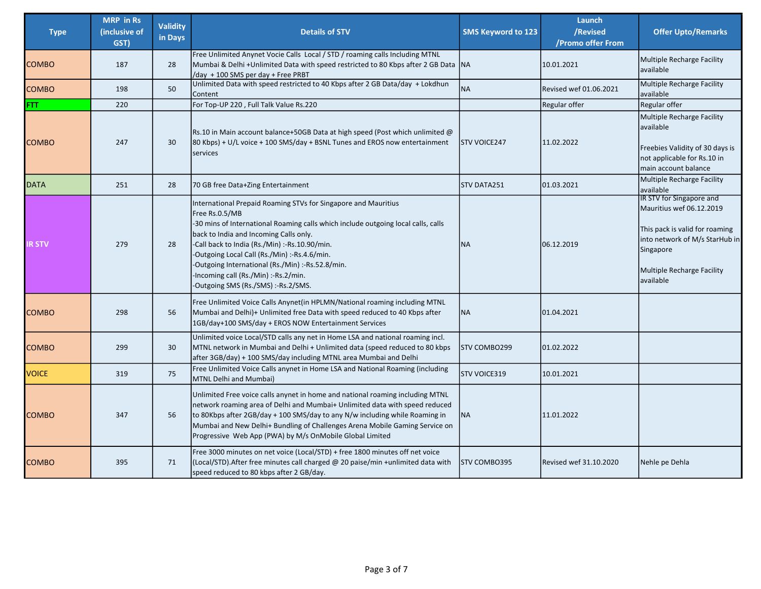| <b>Type</b>   | <b>MRP</b> in Rs<br>(inclusive of<br>GST) | <b>Validity</b><br>in Days | <b>Details of STV</b>                                                                                                                                                                                                                                                                                                                                                                                                                               | <b>SMS Keyword to 123</b> | Launch<br>/Revised<br>/Promo offer From | <b>Offer Upto/Remarks</b>                                                                                                                                                               |
|---------------|-------------------------------------------|----------------------------|-----------------------------------------------------------------------------------------------------------------------------------------------------------------------------------------------------------------------------------------------------------------------------------------------------------------------------------------------------------------------------------------------------------------------------------------------------|---------------------------|-----------------------------------------|-----------------------------------------------------------------------------------------------------------------------------------------------------------------------------------------|
| <b>COMBO</b>  | 187                                       | 28                         | Free Unlimited Anynet Vocie Calls Local / STD / roaming calls Including MTNL<br>Mumbai & Delhi +Unlimited Data with speed restricted to 80 Kbps after 2 GB Data   NA<br>/day + 100 SMS per day + Free PRBT                                                                                                                                                                                                                                          |                           | 10.01.2021                              | <b>Multiple Recharge Facility</b><br>available                                                                                                                                          |
| <b>COMBO</b>  | 198                                       | 50                         | Unlimited Data with speed restricted to 40 Kbps after 2 GB Data/day + Lokdhun<br>Content                                                                                                                                                                                                                                                                                                                                                            | <b>NA</b>                 | Revised wef 01.06.2021                  | Multiple Recharge Facility<br>available                                                                                                                                                 |
| FTT.          | 220                                       |                            | For Top-UP 220, Full Talk Value Rs.220                                                                                                                                                                                                                                                                                                                                                                                                              |                           | Regular offer                           | Regular offer                                                                                                                                                                           |
| <b>COMBO</b>  | 247                                       | 30                         | Rs.10 in Main account balance+50GB Data at high speed (Post which unlimited $@$<br>$80$ Kbps) + U/L voice + 100 SMS/day + BSNL Tunes and EROS now entertainment<br><b>services</b>                                                                                                                                                                                                                                                                  | <b>STV VOICE247</b>       | 11.02.2022                              | Multiple Recharge Facility<br>available<br>Freebies Validity of 30 days is<br>not applicable for Rs.10 in<br>main account balance                                                       |
| DATA          | 251                                       | 28                         | 70 GB free Data+Zing Entertainment                                                                                                                                                                                                                                                                                                                                                                                                                  | STV DATA251               | 01.03.2021                              | Multiple Recharge Facility<br>available                                                                                                                                                 |
| <b>IR STV</b> | 279                                       | 28                         | International Prepaid Roaming STVs for Singapore and Mauritius<br>Free Rs.0.5/MB<br>-30 mins of International Roaming calls which include outgoing local calls, calls<br>back to India and Incoming Calls only.<br>-Call back to India (Rs./Min) :-Rs.10.90/min.<br>-Outgoing Local Call (Rs./Min) :-Rs.4.6/min.<br>-Outgoing International (Rs./Min) :-Rs.52.8/min.<br>-Incoming call (Rs./Min) :-Rs.2/min.<br>-Outgoing SMS (Rs./SMS) :-Rs.2/SMS. | <b>NA</b>                 | 06.12.2019                              | IR STV for Singapore and<br>Mauritius wef 06.12.2019<br>This pack is valid for roaming<br>into network of M/s StarHub in<br>Singapore<br><b>Multiple Recharge Facility</b><br>available |
| <b>COMBO</b>  | 298                                       | 56                         | Free Unlimited Voice Calls Anynet(in HPLMN/National roaming including MTNL<br>Mumbai and Delhi)+ Unlimited free Data with speed reduced to 40 Kbps after<br>1GB/day+100 SMS/day + EROS NOW Entertainment Services                                                                                                                                                                                                                                   | <b>NA</b>                 | 01.04.2021                              |                                                                                                                                                                                         |
| <b>COMBO</b>  | 299                                       | 30                         | Unlimited voice Local/STD calls any net in Home LSA and national roaming incl.<br>MTNL network in Mumbai and Delhi + Unlimited data (speed reduced to 80 kbps<br>after 3GB/day) + 100 SMS/day including MTNL area Mumbai and Delhi                                                                                                                                                                                                                  | STV COMBO299              | 01.02.2022                              |                                                                                                                                                                                         |
| <b>VOICE</b>  | 319                                       | 75                         | Free Unlimited Voice Calls anynet in Home LSA and National Roaming (including<br>MTNL Delhi and Mumbai)                                                                                                                                                                                                                                                                                                                                             | STV VOICE319              | 10.01.2021                              |                                                                                                                                                                                         |
| <b>COMBO</b>  | 347                                       | 56                         | Unlimited Free voice calls anynet in home and national roaming including MTNL<br>network roaming area of Delhi and Mumbai+ Unlimited data with speed reduced<br>to 80Kbps after 2GB/day + 100 SMS/day to any N/w including while Roaming in<br>Mumbai and New Delhi+ Bundling of Challenges Arena Mobile Gaming Service on<br>Progressive Web App (PWA) by M/s OnMobile Global Limited                                                              | <b>NA</b>                 | 11.01.2022                              |                                                                                                                                                                                         |
| <b>COMBO</b>  | 395                                       | 71                         | Free 3000 minutes on net voice (Local/STD) + free 1800 minutes off net voice<br>(Local/STD). After free minutes call charged @ 20 paise/min +unlimited data with<br>speed reduced to 80 kbps after 2 GB/day.                                                                                                                                                                                                                                        | <b>STV COMBO395</b>       | Revised wef 31.10.2020                  | Nehle pe Dehla                                                                                                                                                                          |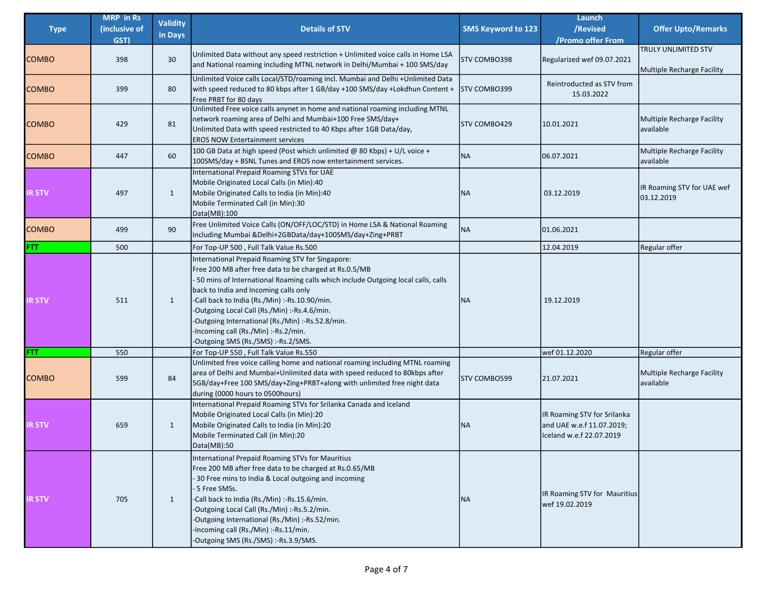| <b>Type</b>   | <b>MRP</b> in Rs<br>(inclusive of | <b>Validity</b> | <b>Details of STV</b>                                                                                                                                                                                                                                                                                                                                                                                                                                                        | SMS Keyword to 123  | Launch<br>/Revised                                                                   | <b>Offer Upto/Remarks</b>                                |
|---------------|-----------------------------------|-----------------|------------------------------------------------------------------------------------------------------------------------------------------------------------------------------------------------------------------------------------------------------------------------------------------------------------------------------------------------------------------------------------------------------------------------------------------------------------------------------|---------------------|--------------------------------------------------------------------------------------|----------------------------------------------------------|
|               | GST)                              | in Days         |                                                                                                                                                                                                                                                                                                                                                                                                                                                                              |                     | /Promo offer From                                                                    |                                                          |
| <b>COMBO</b>  | 398                               | 30              | Unlimited Data without any speed restriction + Unlimited voice calls in Home LSA<br>and National roaming including MTNL network in Delhi/Mumbai + 100 SMS/day                                                                                                                                                                                                                                                                                                                | <b>STV COMBO398</b> | Regularized wef 09.07.2021                                                           | <b>TRULY UNLIMITED STV</b><br>Multiple Recharge Facility |
| <b>COMBO</b>  | 399                               | 80              | Unlimited Voice calls Local/STD/roaming incl. Mumbai and Delhi +Unlimited Data<br>with speed reduced to 80 kbps after 1 GB/day +100 SMS/day +Lokdhun Content +<br>Free PRBT for 80 days                                                                                                                                                                                                                                                                                      | <b>STV COMBO399</b> | Reintroducted as STV from<br>15.03.2022                                              |                                                          |
| <b>COMBO</b>  | 429                               | 81              | Unlimited Free voice calls anynet in home and national roaming including MTNL<br>Inetwork roaming area of Delhi and Mumbai+100 Free SMS/day+<br>Unlimited Data with speed restricted to 40 Kbps after 1GB Data/day,<br><b>EROS NOW Entertainment services</b>                                                                                                                                                                                                                | <b>STV COMBO429</b> | 10.01.2021                                                                           | Multiple Recharge Facility<br>available                  |
| <b>COMBO</b>  | 447                               | 60              | 100 GB Data at high speed (Post which unlimited $@$ 80 Kbps) + U/L voice +<br>100SMS/day + BSNL Tunes and EROS now entertainment services.                                                                                                                                                                                                                                                                                                                                   | <b>NA</b>           | 06.07.2021                                                                           | Multiple Recharge Facility<br>available                  |
| <b>IR STV</b> | 497                               | $\mathbf{1}$    | International Prepaid Roaming STVs for UAE<br>Mobile Originated Local Calls (in Min):40<br>Mobile Originated Calls to India (in Min):40<br>Mobile Terminated Call (in Min):30<br>Data(MB):100                                                                                                                                                                                                                                                                                | <b>NA</b>           | 03.12.2019                                                                           | IR Roaming STV for UAE wef<br>03.12.2019                 |
| <b>COMBO</b>  | 499                               | 90              | Free Unlimited Voice Calls (ON/OFF/LOC/STD) in Home LSA & National Roaming<br>including Mumbai &Delhi+2GBData/day+100SMS/day+Zing+PRBT                                                                                                                                                                                                                                                                                                                                       | <b>NA</b>           | 01.06.2021                                                                           |                                                          |
| FTT           | 500                               |                 | For Top-UP 500, Full Talk Value Rs.500                                                                                                                                                                                                                                                                                                                                                                                                                                       |                     | 12.04.2019                                                                           | Regular offer                                            |
| IR STV        | 511                               | $\mathbf{1}$    | International Prepaid Roaming STV for Singapore:<br>Free 200 MB after free data to be charged at Rs.0.5/MB<br>-50 mins of International Roaming calls which include Outgoing local calls, calls<br>back to India and Incoming calls only<br>-Call back to India (Rs./Min) :-Rs.10.90/min.<br>-Outgoing Local Call (Rs./Min) :-Rs.4.6/min.<br>-Outgoing International (Rs./Min) :-Rs.52.8/min.<br>-Incoming call (Rs./Min) :-Rs.2/min.<br>-Outgoing SMS (Rs./SMS) :-Rs.2/SMS. | <b>NA</b>           | 19.12.2019                                                                           |                                                          |
| FTT           | 550                               |                 | For Top-UP 550, Full Talk Value Rs.550                                                                                                                                                                                                                                                                                                                                                                                                                                       |                     | wef 01.12.2020                                                                       | Regular offer                                            |
| <b>COMBO</b>  | 599                               | 84              | Unlimited free voice calling home and national roaming including MTNL roaming<br>area of Delhi and Mumbai+Unlimited data with speed reduced to 80kbps after<br> 5GB/day+Free 100 SMS/day+Zing+PRBT+along with unlimited free night data<br>during (0000 hours to 0500 hours)                                                                                                                                                                                                 | <b>STV COMBO599</b> | 21.07.2021                                                                           | Multiple Recharge Facility<br>available                  |
| <b>IR STV</b> | 659                               | $\mathbf{1}$    | International Prepaid Roaming STVs for Srilanka Canada and Iceland<br>Mobile Originated Local Calls (in Min):20<br>Mobile Originated Calls to India (in Min):20<br>Mobile Terminated Call (in Min):20<br>Data(MB):50                                                                                                                                                                                                                                                         | <b>NA</b>           | IR Roaming STV for Srilanka<br>and UAE w.e.f 11.07.2019;<br>Iceland w.e.f 22.07.2019 |                                                          |
| <b>IR STV</b> | 705                               | 1               | International Prepaid Roaming STVs for Mauritius<br>Free 200 MB after free data to be charged at Rs.0.65/MB<br>-30 Free mins to India & Local outgoing and incoming<br>- 5 Free SMSs.<br>-Call back to India (Rs./Min) :-Rs.15.6/min.<br>-Outgoing Local Call (Rs./Min) :-Rs.5.2/min.<br>-Outgoing International (Rs./Min) :-Rs.52/min.<br>-Incoming call (Rs./Min) :-Rs.11/min.<br>-Outgoing SMS (Rs./SMS) :-Rs.3.9/SMS.                                                    | <b>NA</b>           | IR Roaming STV for Mauritius<br>wef 19.02.2019                                       |                                                          |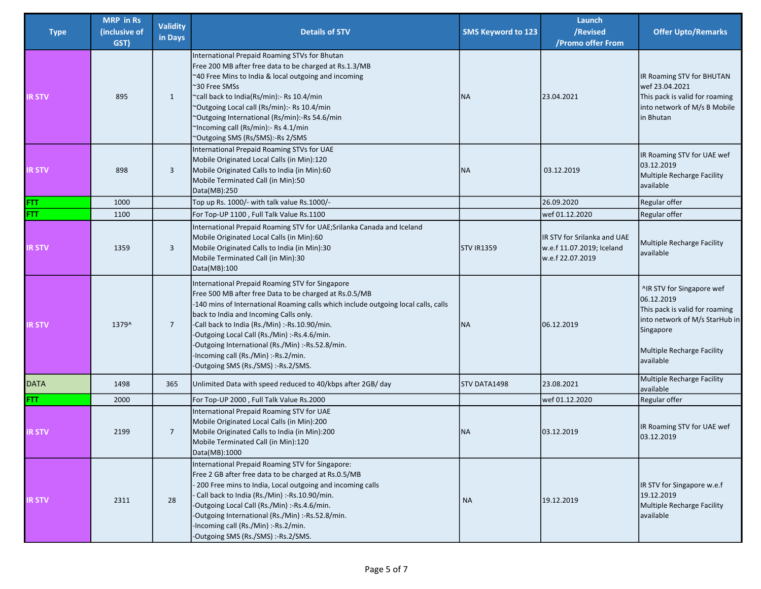|               | <b>MRP</b> in Rs | <b>Validity</b> |                                                                                                                                                                                                                                                                                                                                                                                                                                                                               |                     | Launch                                                                       |                                                                                                                                                                     |
|---------------|------------------|-----------------|-------------------------------------------------------------------------------------------------------------------------------------------------------------------------------------------------------------------------------------------------------------------------------------------------------------------------------------------------------------------------------------------------------------------------------------------------------------------------------|---------------------|------------------------------------------------------------------------------|---------------------------------------------------------------------------------------------------------------------------------------------------------------------|
| <b>Type</b>   | (inclusive of    | in Days         | <b>Details of STV</b>                                                                                                                                                                                                                                                                                                                                                                                                                                                         | SMS Keyword to 123  | /Revised                                                                     | <b>Offer Upto/Remarks</b>                                                                                                                                           |
|               | GST)             |                 |                                                                                                                                                                                                                                                                                                                                                                                                                                                                               |                     | /Promo offer From                                                            |                                                                                                                                                                     |
| <b>IR STV</b> | 895              | $\mathbf{1}$    | International Prepaid Roaming STVs for Bhutan<br>Free 200 MB after free data to be charged at Rs.1.3/MB<br>~40 Free Mins to India & local outgoing and incoming<br>~30 Free SMSs<br>~call back to India(Rs/min):- Rs 10.4/min<br>"Outgoing Local call (Rs/min):- Rs 10.4/min<br>~Outgoing International (Rs/min):-Rs 54.6/min<br>~Incoming call (Rs/min):- Rs 4.1/min<br>~Outgoing SMS (Rs/SMS):-Rs 2/SMS                                                                     | <b>NA</b>           | 23.04.2021                                                                   | IR Roaming STV for BHUTAN<br>wef 23.04.2021<br>This pack is valid for roaming<br>into network of M/s B Mobile<br>in Bhutan                                          |
| <b>IR STV</b> | 898              | 3               | International Prepaid Roaming STVs for UAE<br>Mobile Originated Local Calls (in Min):120<br>Mobile Originated Calls to India (in Min):60<br>Mobile Terminated Call (in Min):50<br>Data(MB):250                                                                                                                                                                                                                                                                                | <b>NA</b>           | 03.12.2019                                                                   | IR Roaming STV for UAE wef<br>03.12.2019<br>Multiple Recharge Facility<br>available                                                                                 |
| FTT           | 1000             |                 | Top up Rs. 1000/- with talk value Rs.1000/-                                                                                                                                                                                                                                                                                                                                                                                                                                   |                     | 26.09.2020                                                                   | Regular offer                                                                                                                                                       |
| FTT           | 1100             |                 | For Top-UP 1100, Full Talk Value Rs.1100                                                                                                                                                                                                                                                                                                                                                                                                                                      |                     | wef 01.12.2020                                                               | Regular offer                                                                                                                                                       |
| <b>IR STV</b> | 1359             | 3               | International Prepaid Roaming STV for UAE;Srilanka Canada and Iceland<br>Mobile Originated Local Calls (in Min):60<br>Mobile Originated Calls to India (in Min):30<br>Mobile Terminated Call (in Min):30<br>Data(MB):100                                                                                                                                                                                                                                                      | <b>STV IR1359</b>   | IR STV for Srilanka and UAE<br>w.e.f 11.07.2019; Iceland<br>w.e.f 22.07.2019 | Multiple Recharge Facility<br>available                                                                                                                             |
| <b>IRSTV</b>  | 1379^            | $\overline{7}$  | International Prepaid Roaming STV for Singapore<br>Free 500 MB after free Data to be charged at Rs.0.5/MB<br>-140 mins of International Roaming calls which include outgoing local calls, calls<br>back to India and Incoming Calls only.<br>-Call back to India (Rs./Min) :-Rs.10.90/min.<br>-Outgoing Local Call (Rs./Min) :-Rs.4.6/min.<br>-Outgoing International (Rs./Min) :-Rs.52.8/min.<br>-Incoming call (Rs./Min) :-Rs.2/min.<br>-Outgoing SMS (Rs./SMS) :-Rs.2/SMS. | <b>NA</b>           | 06.12.2019                                                                   | ^IR STV for Singapore wef<br>06.12.2019<br>This pack is valid for roaming<br>into network of M/s StarHub in<br>Singapore<br>Multiple Recharge Facility<br>available |
| <b>DATA</b>   | 1498             | 365             | Unlimited Data with speed reduced to 40/kbps after 2GB/ day                                                                                                                                                                                                                                                                                                                                                                                                                   | <b>STV DATA1498</b> | 23.08.2021                                                                   | <b>Multiple Recharge Facility</b><br>available                                                                                                                      |
| <b>FTT</b>    | 2000             |                 | For Top-UP 2000, Full Talk Value Rs.2000                                                                                                                                                                                                                                                                                                                                                                                                                                      |                     | wef 01.12.2020                                                               | Regular offer                                                                                                                                                       |
| <b>IR STV</b> | 2199             | $\overline{7}$  | International Prepaid Roaming STV for UAE<br>Mobile Originated Local Calls (in Min):200<br>Mobile Originated Calls to India (in Min):200<br>Mobile Terminated Call (in Min):120<br>Data(MB):1000                                                                                                                                                                                                                                                                              | <b>NA</b>           | 03.12.2019                                                                   | IR Roaming STV for UAE wef<br>03.12.2019                                                                                                                            |
| R STV         | 2311             | 28              | International Prepaid Roaming STV for Singapore:<br>Free 2 GB after free data to be charged at Rs.0.5/MB<br>-200 Free mins to India, Local outgoing and incoming calls<br>- Call back to India (Rs./Min) :-Rs.10.90/min.<br>-Outgoing Local Call (Rs./Min) :-Rs.4.6/min.<br>-Outgoing International (Rs./Min) :-Rs.52.8/min.<br>-Incoming call (Rs./Min) :-Rs.2/min.<br>-Outgoing SMS (Rs./SMS) :-Rs.2/SMS.                                                                   | <b>NA</b>           | 19.12.2019                                                                   | IR STV for Singapore w.e.f<br>19.12.2019<br>Multiple Recharge Facility<br>available                                                                                 |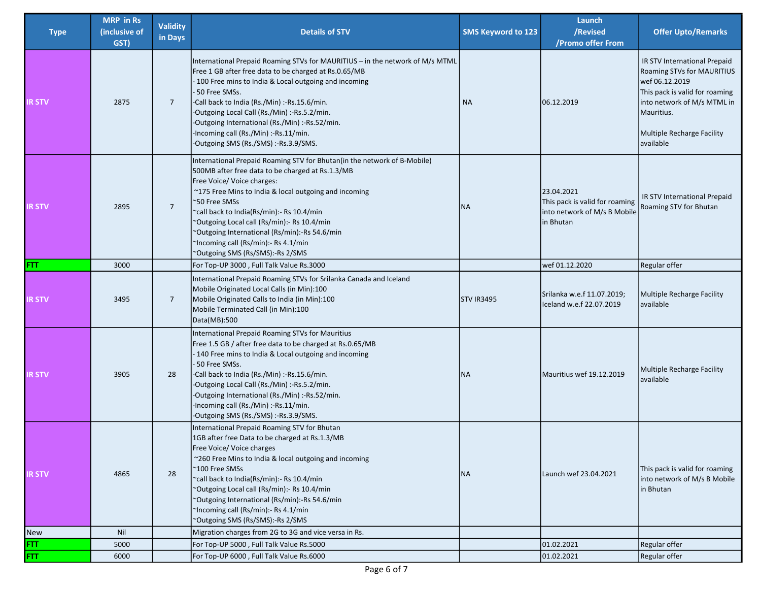| <b>Type</b>   | <b>MRP</b> in Rs<br>(inclusive of<br>GST) | <b>Validity</b><br>in Days | <b>Details of STV</b>                                                                                                                                                                                                                                                                                                                                                                                                                                         | SMS Keyword to 123 | Launch<br>/Revised<br>/Promo offer From                                                   | <b>Offer Upto/Remarks</b>                                                                                                                                                                              |
|---------------|-------------------------------------------|----------------------------|---------------------------------------------------------------------------------------------------------------------------------------------------------------------------------------------------------------------------------------------------------------------------------------------------------------------------------------------------------------------------------------------------------------------------------------------------------------|--------------------|-------------------------------------------------------------------------------------------|--------------------------------------------------------------------------------------------------------------------------------------------------------------------------------------------------------|
| IR STV        | 2875                                      | $\overline{7}$             | International Prepaid Roaming STVs for MAURITIUS - in the network of M/s MTML<br>Free 1 GB after free data to be charged at Rs.0.65/MB<br>100 Free mins to India & Local outgoing and incoming<br>50 Free SMSs.<br>-Call back to India (Rs./Min) :-Rs.15.6/min.<br>-Outgoing Local Call (Rs./Min) :-Rs.5.2/min.<br>-Outgoing International (Rs./Min) :-Rs.52/min.<br>-Incoming call (Rs./Min) :-Rs.11/min.<br>-Outgoing SMS (Rs./SMS) :-Rs.3.9/SMS.           | <b>NA</b>          | 06.12.2019                                                                                | IR STV International Prepaid<br>Roaming STVs for MAURITIUS<br>wef 06.12.2019<br>This pack is valid for roaming<br>into network of M/s MTML in<br>Mauritius.<br>Multiple Recharge Facility<br>available |
| <b>IR STV</b> | 2895                                      | $\overline{7}$             | International Prepaid Roaming STV for Bhutan(in the network of B-Mobile)<br>500MB after free data to be charged at Rs.1.3/MB<br>Free Voice/ Voice charges:<br>~175 Free Mins to India & local outgoing and incoming<br>~50 Free SMSs<br>~call back to India(Rs/min):- Rs 10.4/min<br>"Outgoing Local call (Rs/min):- Rs 10.4/min<br>"Outgoing International (Rs/min):-Rs 54.6/min<br>"Incoming call (Rs/min):- Rs 4.1/min<br>"Outgoing SMS (Rs/SMS):-Rs 2/SMS | <b>NA</b>          | 23.04.2021<br>This pack is valid for roaming<br>into network of M/s B Mobile<br>in Bhutan | IR STV International Prepaid<br>Roaming STV for Bhutan                                                                                                                                                 |
| FTT.          | 3000                                      |                            | For Top-UP 3000, Full Talk Value Rs.3000                                                                                                                                                                                                                                                                                                                                                                                                                      |                    | wef 01.12.2020                                                                            | Regular offer                                                                                                                                                                                          |
| <b>IR STV</b> | 3495                                      | $\overline{7}$             | International Prepaid Roaming STVs for Srilanka Canada and Iceland<br>Mobile Originated Local Calls (in Min):100<br>Mobile Originated Calls to India (in Min):100<br>Mobile Terminated Call (in Min):100<br>Data(MB):500                                                                                                                                                                                                                                      | <b>STV IR3495</b>  | Srilanka w.e.f 11.07.2019;<br>Iceland w.e.f 22.07.2019                                    | Multiple Recharge Facility<br>available                                                                                                                                                                |
| <b>IR STV</b> | 3905                                      | 28                         | International Prepaid Roaming STVs for Mauritius<br>Free 1.5 GB / after free data to be charged at Rs.0.65/MB<br>-140 Free mins to India & Local outgoing and incoming<br>50 Free SMSs.<br>-Call back to India (Rs./Min) :-Rs.15.6/min.<br>-Outgoing Local Call (Rs./Min) :-Rs.5.2/min.<br>-Outgoing International (Rs./Min) :-Rs.52/min.<br>-Incoming call (Rs./Min) :-Rs.11/min.<br>-Outgoing SMS (Rs./SMS) :-Rs.3.9/SMS.                                   | <b>NA</b>          | Mauritius wef 19.12.2019                                                                  | Multiple Recharge Facility<br>available                                                                                                                                                                |
| IR STV        | 4865                                      | 28                         | International Prepaid Roaming STV for Bhutan<br>1GB after free Data to be charged at Rs.1.3/MB<br>Free Voice/ Voice charges<br>~260 Free Mins to India & local outgoing and incoming<br>~100 Free SMSs<br>~call back to India(Rs/min):- Rs 10.4/min<br>"Outgoing Local call (Rs/min):- Rs 10.4/min<br>~Outgoing International (Rs/min):-Rs 54.6/min<br>"Incoming call (Rs/min):- Rs 4.1/min<br>~Outgoing SMS (Rs/SMS):-Rs 2/SMS                               | <b>NA</b>          | Launch wef 23.04.2021                                                                     | This pack is valid for roaming<br>into network of M/s B Mobile<br>in Bhutan                                                                                                                            |
| New           | Nil                                       |                            | Migration charges from 2G to 3G and vice versa in Rs.                                                                                                                                                                                                                                                                                                                                                                                                         |                    |                                                                                           |                                                                                                                                                                                                        |
| FTT.          | 5000                                      |                            | For Top-UP 5000, Full Talk Value Rs.5000                                                                                                                                                                                                                                                                                                                                                                                                                      |                    | 01.02.2021                                                                                | Regular offer                                                                                                                                                                                          |
| FTT.          | 6000                                      |                            | For Top-UP 6000, Full Talk Value Rs.6000                                                                                                                                                                                                                                                                                                                                                                                                                      |                    | 01.02.2021                                                                                | Regular offer                                                                                                                                                                                          |